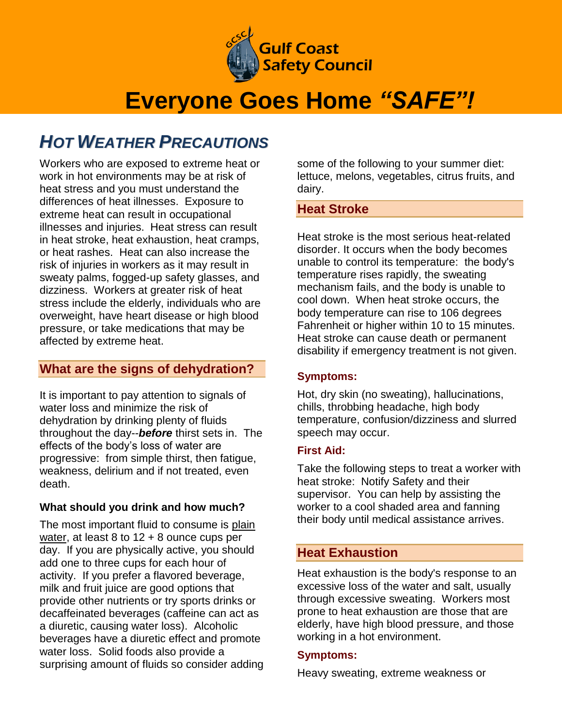

# **Everyone Goes Home** *"SAFE"!*

# *HOT WEATHER PRECAUTIONS*

Workers who are exposed to extreme heat or work in hot environments may be at risk of heat stress and you must understand the differences of heat illnesses. Exposure to extreme heat can result in occupational illnesses and injuries. Heat stress can result in heat stroke, heat exhaustion, heat cramps, or heat rashes. Heat can also increase the risk of injuries in workers as it may result in sweaty palms, fogged-up safety glasses, and dizziness. Workers at greater risk of heat stress include the elderly, individuals who are overweight, have heart disease or high blood pressure, or take medications that may be affected by extreme heat.

# **What are the signs of dehydration?**

It is important to pay attention to signals of water loss and minimize the risk of dehydration by drinking plenty of fluids throughout the day--*before* thirst sets in. The effects of the body's loss of water are progressive: from simple thirst, then fatigue, weakness, delirium and if not treated, even death.

#### **What should you drink and how much?**

The most important fluid to consume is plain water, at least 8 to  $12 + 8$  ounce cups per day. If you are physically active, you should add one to three cups for each hour of activity. If you prefer a flavored beverage, milk and fruit juice are good options that provide other nutrients or try sports drinks or decaffeinated beverages (caffeine can act as a diuretic, causing water loss). Alcoholic beverages have a diuretic effect and promote water loss. Solid foods also provide a surprising amount of fluids so consider adding some of the following to your summer diet: lettuce, melons, vegetables, citrus fruits, and dairy.

### **Heat Stroke**

Heat stroke is the most serious heat-related disorder. It occurs when the body becomes unable to control its temperature: the body's temperature rises rapidly, the sweating mechanism fails, and the body is unable to cool down. When heat stroke occurs, the body temperature can rise to 106 degrees Fahrenheit or higher within 10 to 15 minutes. Heat stroke can cause death or permanent disability if emergency treatment is not given.

#### **Symptoms:**

Hot, dry skin (no sweating), hallucinations, chills, throbbing headache, high body temperature, confusion/dizziness and slurred speech may occur.

#### **First Aid:**

Take the following steps to treat a worker with heat stroke: Notify Safety and their supervisor. You can help by assisting the worker to a cool shaded area and fanning their body until medical assistance arrives.

# **Heat Exhaustion**

Heat exhaustion is the body's response to an excessive loss of the water and salt, usually through excessive sweating. Workers most prone to heat exhaustion are those that are elderly, have high blood pressure, and those working in a hot environment.

#### **Symptoms:**

Heavy sweating, extreme weakness or